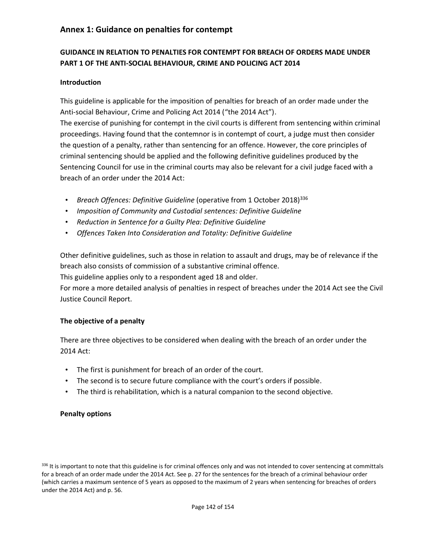### **Annex 1: Guidance on penalties for contempt**

# **GUIDANCE IN RELATION TO PENALTIES FOR CONTEMPT FOR BREACH OF ORDERS MADE UNDER PART 1 OF THE ANTI-SOCIAL BEHAVIOUR, CRIME AND POLICING ACT 2014**

#### **Introduction**

This guideline is applicable for the imposition of penalties for breach of an order made under the Anti-social Behaviour, Crime and Policing Act 2014 ("the 2014 Act"). The exercise of punishing for contempt in the civil courts is different from sentencing within criminal proceedings. Having found that the contemnor is in contempt of court, a judge must then consider the question of a penalty, rather than sentencing for an offence. However, the core principles of criminal sentencing should be applied and the following definitive guidelines produced by the Sentencing Council for use in the criminal courts may also be relevant for a civil judge faced with a breach of an order under the 2014 Act:

- *Breach Offences: Definitive Guideline* (operative from 1 October 2018)336
- *Imposition of Community and Custodial sentences: Definitive Guideline*
- *Reduction in Sentence for a Guilty Plea: Definitive Guideline*
- *Offences Taken Into Consideration and Totality: Definitive Guideline*

Other definitive guidelines, such as those in relation to assault and drugs, may be of relevance if the breach also consists of commission of a substantive criminal offence.

This guideline applies only to a respondent aged 18 and older.

For more a more detailed analysis of penalties in respect of breaches under the 2014 Act see the Civil Justice Council Report.

#### **The objective of a penalty**

There are three objectives to be considered when dealing with the breach of an order under the 2014 Act:

- The first is punishment for breach of an order of the court.
- The second is to secure future compliance with the court's orders if possible.
- The third is rehabilitation, which is a natural companion to the second objective*.*

#### **Penalty options**

336 It is important to note that this guideline is for criminal offences only and was not intended to cover sentencing at committals for a breach of an order made under the 2014 Act. See p. 27 for the sentences for the breach of a criminal behaviour order (which carries a maximum sentence of 5 years as opposed to the maximum of 2 years when sentencing for breaches of orders under the 2014 Act) and p. 56.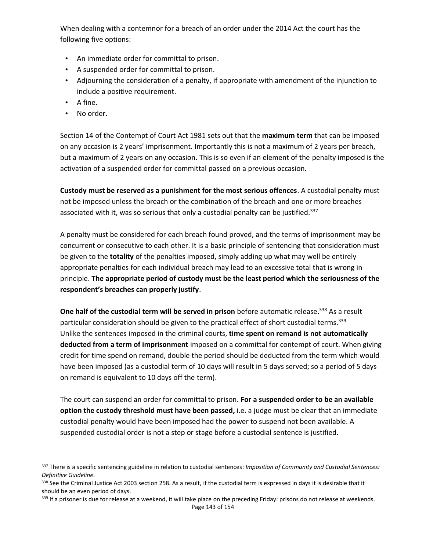When dealing with a contemnor for a breach of an order under the 2014 Act the court has the following five options:

- An immediate order for committal to prison.
- A suspended order for committal to prison.
- Adjourning the consideration of a penalty, if appropriate with amendment of the injunction to include a positive requirement.
- $\bullet$  A fine.
- No order.

Section 14 of the Contempt of Court Act 1981 sets out that the **maximum term** that can be imposed on any occasion is 2 years' imprisonment. Importantly this is not a maximum of 2 years per breach, but a maximum of 2 years on any occasion. This is so even if an element of the penalty imposed is the activation of a suspended order for committal passed on a previous occasion.

**Custody must be reserved as a punishment for the most serious offences**. A custodial penalty must not be imposed unless the breach or the combination of the breach and one or more breaches associated with it, was so serious that only a custodial penalty can be justified.<sup>337</sup>

A penalty must be considered for each breach found proved, and the terms of imprisonment may be concurrent or consecutive to each other. It is a basic principle of sentencing that consideration must be given to the **totality** of the penalties imposed, simply adding up what may well be entirely appropriate penalties for each individual breach may lead to an excessive total that is wrong in principle. **The appropriate period of custody must be the least period which the seriousness of the respondent's breaches can properly justify**.

**One half of the custodial term will be served in prison** before automatic release.<sup>338</sup> As a result particular consideration should be given to the practical effect of short custodial terms.<sup>339</sup> Unlike the sentences imposed in the criminal courts, **time spent on remand is not automatically deducted from a term of imprisonment** imposed on a committal for contempt of court. When giving credit for time spend on remand, double the period should be deducted from the term which would have been imposed (as a custodial term of 10 days will result in 5 days served; so a period of 5 days on remand is equivalent to 10 days off the term).

The court can suspend an order for committal to prison. **For a suspended order to be an available option the custody threshold must have been passed,** i.e. a judge must be clear that an immediate custodial penalty would have been imposed had the power to suspend not been available. A suspended custodial order is not a step or stage before a custodial sentence is justified.

Page 143 of 154 339 If a prisoner is due for release at a weekend, it will take place on the preceding Friday: prisons do not release at weekends.

<sup>337</sup> There is a specific sentencing guideline in relation to custodial sentences: *Imposition of Community and Custodial Sentences: Definitive Guideline.*

<sup>338</sup> See the Criminal Justice Act 2003 section 258. As a result, if the custodial term is expressed in days it is desirable that it should be an even period of days.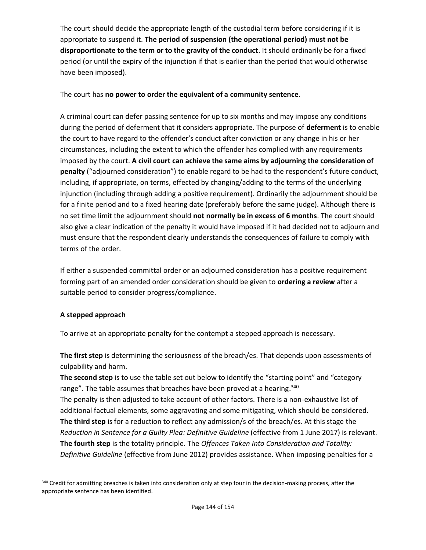The court should decide the appropriate length of the custodial term before considering if it is appropriate to suspend it. **The period of suspension (the operational period) must not be disproportionate to the term or to the gravity of the conduct**. It should ordinarily be for a fixed period (or until the expiry of the injunction if that is earlier than the period that would otherwise have been imposed).

#### The court has **no power to order the equivalent of a community sentence**.

A criminal court can defer passing sentence for up to six months and may impose any conditions during the period of deferment that it considers appropriate. The purpose of **deferment** is to enable the court to have regard to the offender's conduct after conviction or any change in his or her circumstances, including the extent to which the offender has complied with any requirements imposed by the court. **A civil court can achieve the same aims by adjourning the consideration of penalty** ("adjourned consideration") to enable regard to be had to the respondent's future conduct, including, if appropriate, on terms, effected by changing/adding to the terms of the underlying injunction (including through adding a positive requirement). Ordinarily the adjournment should be for a finite period and to a fixed hearing date (preferably before the same judge). Although there is no set time limit the adjournment should **not normally be in excess of 6 months**. The court should also give a clear indication of the penalty it would have imposed if it had decided not to adjourn and must ensure that the respondent clearly understands the consequences of failure to comply with terms of the order.

If either a suspended committal order or an adjourned consideration has a positive requirement forming part of an amended order consideration should be given to **ordering a review** after a suitable period to consider progress/compliance.

### **A stepped approach**

To arrive at an appropriate penalty for the contempt a stepped approach is necessary.

**The first step** is determining the seriousness of the breach/es. That depends upon assessments of culpability and harm.

**The second step** is to use the table set out below to identify the "starting point" and "category range". The table assumes that breaches have been proved at a hearing.<sup>340</sup> The penalty is then adjusted to take account of other factors. There is a non-exhaustive list of additional factual elements, some aggravating and some mitigating, which should be considered. **The third step** is for a reduction to reflect any admission/s of the breach/es. At this stage the *Reduction in Sentence for a Guilty Plea: Definitive Guideline* (effective from 1 June 2017) is relevant. **The fourth step** is the totality principle. The *Offences Taken Into Consideration and Totality: Definitive Guideline* (effective from June 2012) provides assistance. When imposing penalties for a

<sup>340</sup> Credit for admitting breaches is taken into consideration only at step four in the decision-making process, after the appropriate sentence has been identified.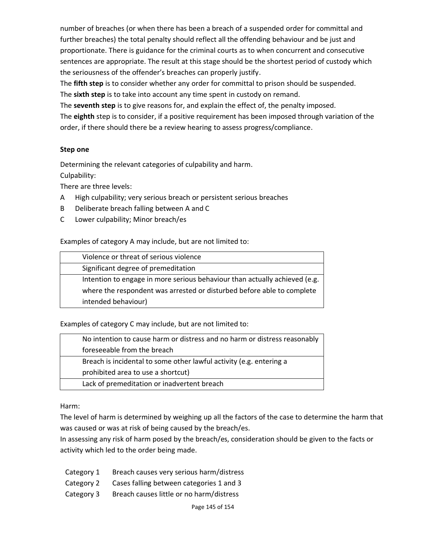number of breaches (or when there has been a breach of a suspended order for committal and further breaches) the total penalty should reflect all the offending behaviour and be just and proportionate. There is guidance for the criminal courts as to when concurrent and consecutive sentences are appropriate. The result at this stage should be the shortest period of custody which the seriousness of the offender's breaches can properly justify.

The **fifth step** is to consider whether any order for committal to prison should be suspended. The **sixth step** is to take into account any time spent in custody on remand.

The **seventh step** is to give reasons for, and explain the effect of, the penalty imposed.

The **eighth** step is to consider, if a positive requirement has been imposed through variation of the order, if there should there be a review hearing to assess progress/compliance.

### **Step one**

Determining the relevant categories of culpability and harm. Culpability:

There are three levels:

- A High culpability; very serious breach or persistent serious breaches
- B Deliberate breach falling between A and C
- C Lower culpability; Minor breach/es

#### Examples of category A may include, but are not limited to:

| Violence or threat of serious violence                                     |  |
|----------------------------------------------------------------------------|--|
| Significant degree of premeditation                                        |  |
| Intention to engage in more serious behaviour than actually achieved (e.g. |  |
| where the respondent was arrested or disturbed before able to complete     |  |
| intended behaviour)                                                        |  |

Examples of category C may include, but are not limited to:

| No intention to cause harm or distress and no harm or distress reasonably |
|---------------------------------------------------------------------------|
| foreseeable from the breach                                               |
| Breach is incidental to some other lawful activity (e.g. entering a       |
| prohibited area to use a shortcut)                                        |
| Lack of premeditation or inadvertent breach                               |
|                                                                           |

Harm:

The level of harm is determined by weighing up all the factors of the case to determine the harm that was caused or was at risk of being caused by the breach/es.

In assessing any risk of harm posed by the breach/es, consideration should be given to the facts or activity which led to the order being made.

- Category 1 Breach causes very serious harm/distress
- Category 2 Cases falling between categories 1 and 3
- Category 3 Breach causes little or no harm/distress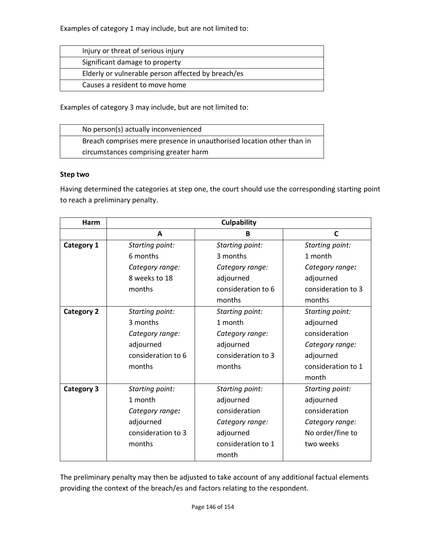Examples of category 1 may include, but are not limited to:

| Injury or threat of serious injury                 |  |
|----------------------------------------------------|--|
| Significant damage to property                     |  |
| Elderly or vulnerable person affected by breach/es |  |
| Causes a resident to move home                     |  |

Examples of category 3 may include, but are not limited to:

| No person(s) actually inconvenienced                                  |
|-----------------------------------------------------------------------|
| Breach comprises mere presence in unauthorised location other than in |
| circumstances comprising greater harm                                 |

#### **Step two**

Having determined the categories at step one, the court should use the corresponding starting point to reach a preliminary penalty.

| Harm              |                    | <b>Culpability</b> |                    |  |
|-------------------|--------------------|--------------------|--------------------|--|
|                   | A                  | B                  | C                  |  |
| Category 1        | Starting point:    | Starting point:    | Starting point:    |  |
|                   | 6 months           | 3 months           | 1 month            |  |
|                   | Category range:    | Category range:    | Category range:    |  |
|                   | 8 weeks to 18      | adjourned          | adjourned          |  |
|                   | months             | consideration to 6 | consideration to 3 |  |
|                   |                    | months             | months             |  |
| <b>Category 2</b> | Starting point:    | Starting point:    | Starting point:    |  |
|                   | 3 months           | 1 month            | adjourned          |  |
|                   | Category range:    | Category range:    | consideration      |  |
|                   | adjourned          | adjourned          | Category range:    |  |
|                   | consideration to 6 | consideration to 3 | adjourned          |  |
|                   | months<br>months   |                    | consideration to 1 |  |
|                   |                    |                    | month              |  |
| Category 3        | Starting point:    | Starting point:    | Starting point:    |  |
|                   | 1 month            | adjourned          | adjourned          |  |
|                   | Category range:    | consideration      | consideration      |  |
|                   | adjourned          | Category range:    | Category range:    |  |
|                   | consideration to 3 | adjourned          | No order/fine to   |  |
|                   | months             | consideration to 1 | two weeks          |  |
|                   |                    | month              |                    |  |

The preliminary penalty may then be adjusted to take account of any additional factual elements providing the context of the breach/es and factors relating to the respondent.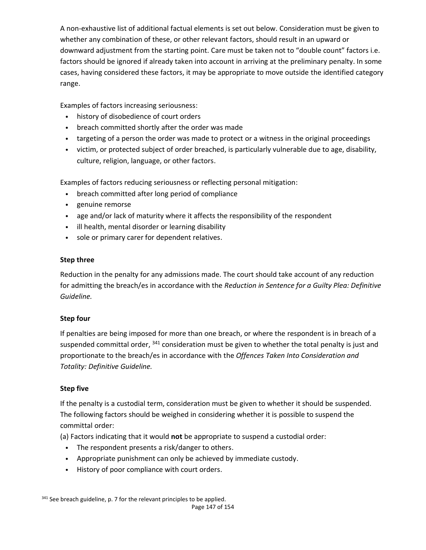A non-exhaustive list of additional factual elements is set out below. Consideration must be given to whether any combination of these, or other relevant factors, should result in an upward or downward adjustment from the starting point. Care must be taken not to "double count" factors i.e. factors should be ignored if already taken into account in arriving at the preliminary penalty. In some cases, having considered these factors, it may be appropriate to move outside the identified category range.

Examples of factors increasing seriousness:

- history of disobedience of court orders
- breach committed shortly after the order was made
- targeting of a person the order was made to protect or a witness in the original proceedings
- victim, or protected subject of order breached, is particularly vulnerable due to age, disability, culture, religion, language, or other factors.

Examples of factors reducing seriousness or reflecting personal mitigation:

- breach committed after long period of compliance
- genuine remorse
- age and/or lack of maturity where it affects the responsibility of the respondent
- ill health, mental disorder or learning disability
- sole or primary carer for dependent relatives.

### **Step three**

Reduction in the penalty for any admissions made. The court should take account of any reduction for admitting the breach/es in accordance with the *Reduction in Sentence for a Guilty Plea: Definitive Guideline.* 

### **Step four**

If penalties are being imposed for more than one breach, or where the respondent is in breach of a suspended committal order, <sup>341</sup> consideration must be given to whether the total penalty is just and proportionate to the breach/es in accordance with the *Offences Taken Into Consideration and Totality: Definitive Guideline.* 

### **Step five**

If the penalty is a custodial term, consideration must be given to whether it should be suspended. The following factors should be weighed in considering whether it is possible to suspend the committal order:

(a) Factors indicating that it would **not** be appropriate to suspend a custodial order:

- The respondent presents a risk/danger to others.
- Appropriate punishment can only be achieved by immediate custody.
- History of poor compliance with court orders.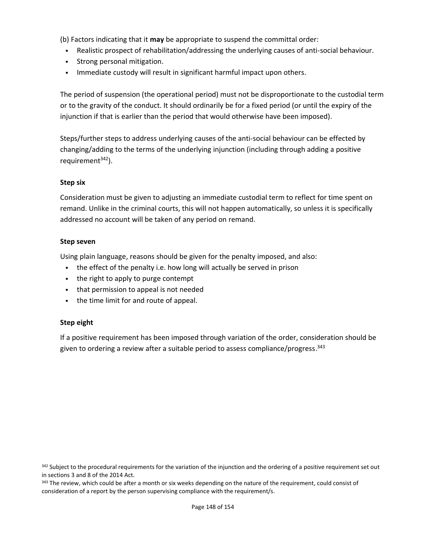(b) Factors indicating that it **may** be appropriate to suspend the committal order:

- Realistic prospect of rehabilitation/addressing the underlying causes of anti-social behaviour.
- Strong personal mitigation.
- Immediate custody will result in significant harmful impact upon others.

The period of suspension (the operational period) must not be disproportionate to the custodial term or to the gravity of the conduct. It should ordinarily be for a fixed period (or until the expiry of the injunction if that is earlier than the period that would otherwise have been imposed).

Steps/further steps to address underlying causes of the anti-social behaviour can be effected by changing/adding to the terms of the underlying injunction (including through adding a positive requirement $342$ ).

#### **Step six**

Consideration must be given to adjusting an immediate custodial term to reflect for time spent on remand. Unlike in the criminal courts, this will not happen automatically, so unless it is specifically addressed no account will be taken of any period on remand.

#### **Step seven**

Using plain language, reasons should be given for the penalty imposed, and also:

- the effect of the penalty i.e. how long will actually be served in prison
- the right to apply to purge contempt
- that permission to appeal is not needed
- the time limit for and route of appeal.

#### **Step eight**

If a positive requirement has been imposed through variation of the order, consideration should be given to ordering a review after a suitable period to assess compliance/progress.  $343$ 

<sup>342</sup> Subject to the procedural requirements for the variation of the injunction and the ordering of a positive requirement set out in sections 3 and 8 of the 2014 Act.

<sup>343</sup> The review, which could be after a month or six weeks depending on the nature of the requirement, could consist of consideration of a report by the person supervising compliance with the requirement/s.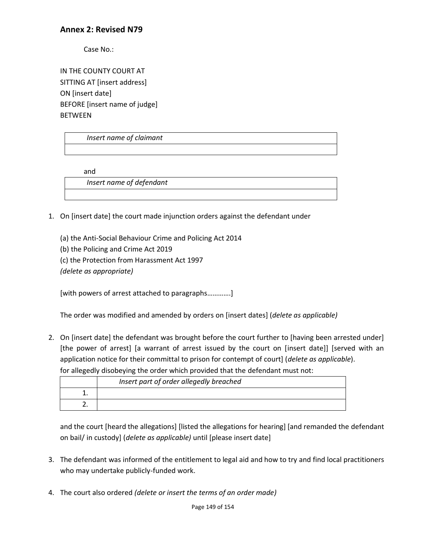## **Annex 2: Revised N79**

Case No.:

IN THE COUNTY COURT AT SITTING AT [insert address] ON [insert date] BEFORE [insert name of judge] BETWEEN

*Insert name of claimant* 

and

*Insert name of defendant* 

- 1. On [insert date] the court made injunction orders against the defendant under
	- (a) the Anti-Social Behaviour Crime and Policing Act 2014
	- (b) the Policing and Crime Act 2019
	- (c) the Protection from Harassment Act 1997

*(delete as appropriate)* 

[with powers of arrest attached to paragraphs………….]

The order was modified and amended by orders on [insert dates] (*delete as applicable)*

2. On [insert date] the defendant was brought before the court further to [having been arrested under] [the power of arrest] [a warrant of arrest issued by the court on [insert date]] [served with an application notice for their committal to prison for contempt of court] (*delete as applicable*). for allegedly disobeying the order which provided that the defendant must not:

| Insert part of order allegedly breached |
|-----------------------------------------|
|                                         |
|                                         |

and the court [heard the allegations] [listed the allegations for hearing] [and remanded the defendant on bail/ in custody] (*delete as applicable)* until [please insert date]

- 3. The defendant was informed of the entitlement to legal aid and how to try and find local practitioners who may undertake publicly-funded work.
- 4. The court also ordered *(delete or insert the terms of an order made)*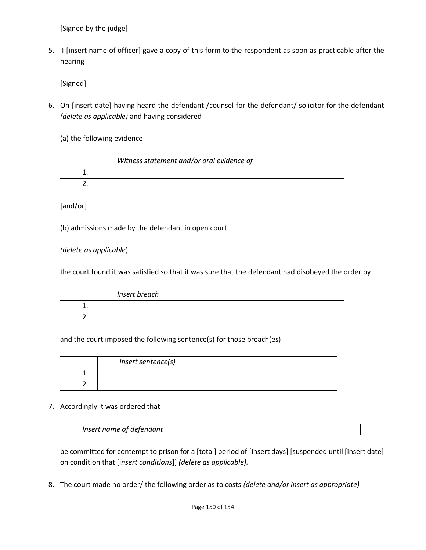[Signed by the judge]

5. I [insert name of officer] gave a copy of this form to the respondent as soon as practicable after the hearing

[Signed]

6. On [insert date] having heard the defendant /counsel for the defendant/ solicitor for the defendant *(delete as applicable)* and having considered

(a) the following evidence

| Witness statement and/or oral evidence of |
|-------------------------------------------|
|                                           |
|                                           |

[and/or]

(b) admissions made by the defendant in open court

*(delete as applicable*)

the court found it was satisfied so that it was sure that the defendant had disobeyed the order by

| Insert breach |
|---------------|
|               |
|               |

and the court imposed the following sentence(s) for those breach(es)

| Insert sentence(s) |
|--------------------|
|                    |
|                    |

### 7. Accordingly it was ordered that

*Insert name of defendant* 

be committed for contempt to prison for a [total] period of [insert days] [suspended until [insert date] on condition that [i*nsert conditions*]] *(delete as applicable).*

8. The court made no order/ the following order as to costs *(delete and/or insert as appropriate)*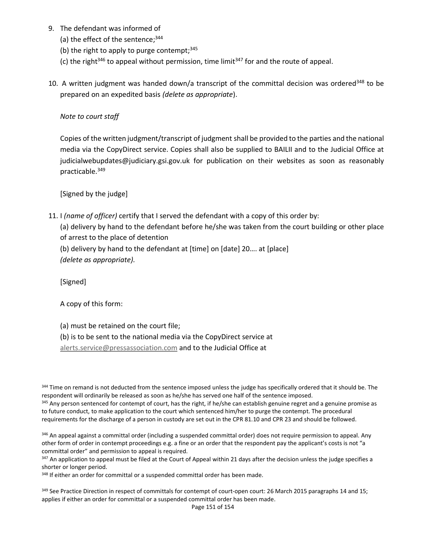- 9. The defendant was informed of
	- (a) the effect of the sentence; $344$
	- (b) the right to apply to purge contempt;  $345$
	- (c) the right<sup>346</sup> to appeal without permission, time limit<sup>347</sup> for and the route of appeal.
- 10. A written judgment was handed down/a transcript of the committal decision was ordered<sup>348</sup> to be prepared on an expedited basis *(delete as appropriate*).

*Note to court staff* 

Copies of the written judgment/transcript of judgment shall be provided to the parties and the national media via the CopyDirect service. Copies shall also be supplied to BAILII and to the Judicial Office at judicialwebupdates@judiciary.gsi.gov.uk for publication on their websites as soon as reasonably practicable.349

[Signed by the judge]

11. I *(name of officer)* certify that I served the defendant with a copy of this order by:

(a) delivery by hand to the defendant before he/she was taken from the court building or other place of arrest to the place of detention

(b) delivery by hand to the defendant at [time] on [date] 20…. at [place] *(delete as appropriate).* 

[Signed]

A copy of this form:

(a) must be retained on the court file;

(b) is to be sent to the national media via the CopyDirect service at

alerts.service@pressassociation.com and to the Judicial Office at

344 Time on remand is not deducted from the sentence imposed unless the judge has specifically ordered that it should be. The respondent will ordinarily be released as soon as he/she has served one half of the sentence imposed.<br><sup>345</sup> Any person sentenced for contempt of court, has the right, if he/she can establish genuine regret and a genuine pr to future conduct, to make application to the court which sentenced him/her to purge the contempt. The procedural requirements for the discharge of a person in custody are set out in the CPR 81.10 and CPR 23 and should be followed.

346 An appeal against a committal order (including a suspended committal order) does not require permission to appeal. Any other form of order in contempt proceedings e.g. a fine or an order that the respondent pay the applicant's costs is not "a committal order" and permission to appeal is required.

347 An application to appeal must be filed at the Court of Appeal within 21 days after the decision unless the judge specifies a shorter or longer period.

<sup>348</sup> If either an order for committal or a suspended committal order has been made.

<sup>349</sup> See Practice Direction in respect of committals for contempt of court-open court: 26 March 2015 paragraphs 14 and 15; applies if either an order for committal or a suspended committal order has been made.

Page 151 of 154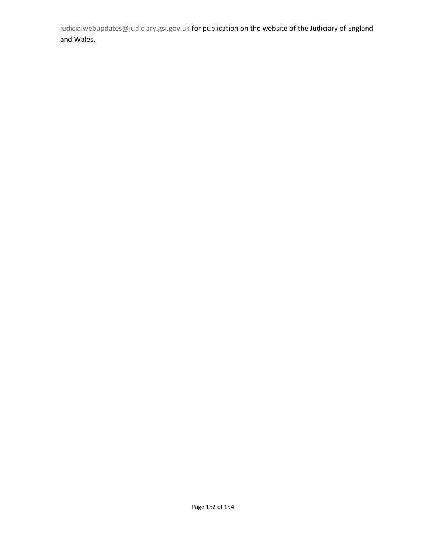judicialwebupdates@judiciary.gsi.gov.uk for publication on the website of the Judiciary of England and Wales.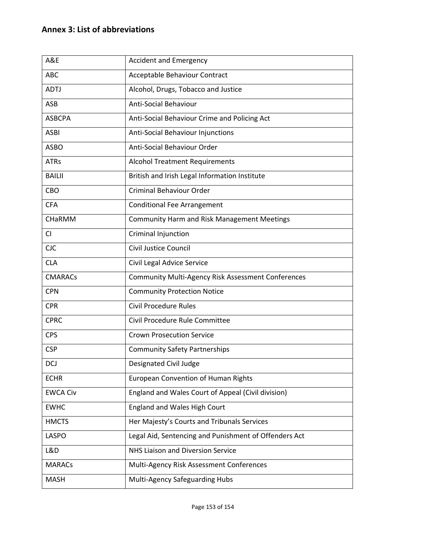# **Annex 3: List of abbreviations**

| A&E             | <b>Accident and Emergency</b>                             |
|-----------------|-----------------------------------------------------------|
| <b>ABC</b>      | Acceptable Behaviour Contract                             |
| <b>ADTJ</b>     | Alcohol, Drugs, Tobacco and Justice                       |
| ASB             | <b>Anti-Social Behaviour</b>                              |
| <b>ASBCPA</b>   | Anti-Social Behaviour Crime and Policing Act              |
| <b>ASBI</b>     | Anti-Social Behaviour Injunctions                         |
| <b>ASBO</b>     | Anti-Social Behaviour Order                               |
| <b>ATRs</b>     | <b>Alcohol Treatment Requirements</b>                     |
| <b>BAILII</b>   | British and Irish Legal Information Institute             |
| CBO             | Criminal Behaviour Order                                  |
| <b>CFA</b>      | <b>Conditional Fee Arrangement</b>                        |
| CHaRMM          | <b>Community Harm and Risk Management Meetings</b>        |
| CI.             | Criminal Injunction                                       |
| <b>CJC</b>      | <b>Civil Justice Council</b>                              |
| <b>CLA</b>      | Civil Legal Advice Service                                |
| <b>CMARACs</b>  | <b>Community Multi-Agency Risk Assessment Conferences</b> |
| <b>CPN</b>      | <b>Community Protection Notice</b>                        |
| <b>CPR</b>      | <b>Civil Procedure Rules</b>                              |
| <b>CPRC</b>     | Civil Procedure Rule Committee                            |
| <b>CPS</b>      | <b>Crown Prosecution Service</b>                          |
| <b>CSP</b>      | <b>Community Safety Partnerships</b>                      |
| DCJ             | Designated Civil Judge                                    |
| <b>ECHR</b>     | <b>European Convention of Human Rights</b>                |
| <b>EWCA Civ</b> | England and Wales Court of Appeal (Civil division)        |
| <b>EWHC</b>     | England and Wales High Court                              |
| <b>HMCTS</b>    | Her Majesty's Courts and Tribunals Services               |
| LASPO           | Legal Aid, Sentencing and Punishment of Offenders Act     |
| L&D             | NHS Liaison and Diversion Service                         |
| <b>MARACs</b>   | Multi-Agency Risk Assessment Conferences                  |
| <b>MASH</b>     | Multi-Agency Safeguarding Hubs                            |